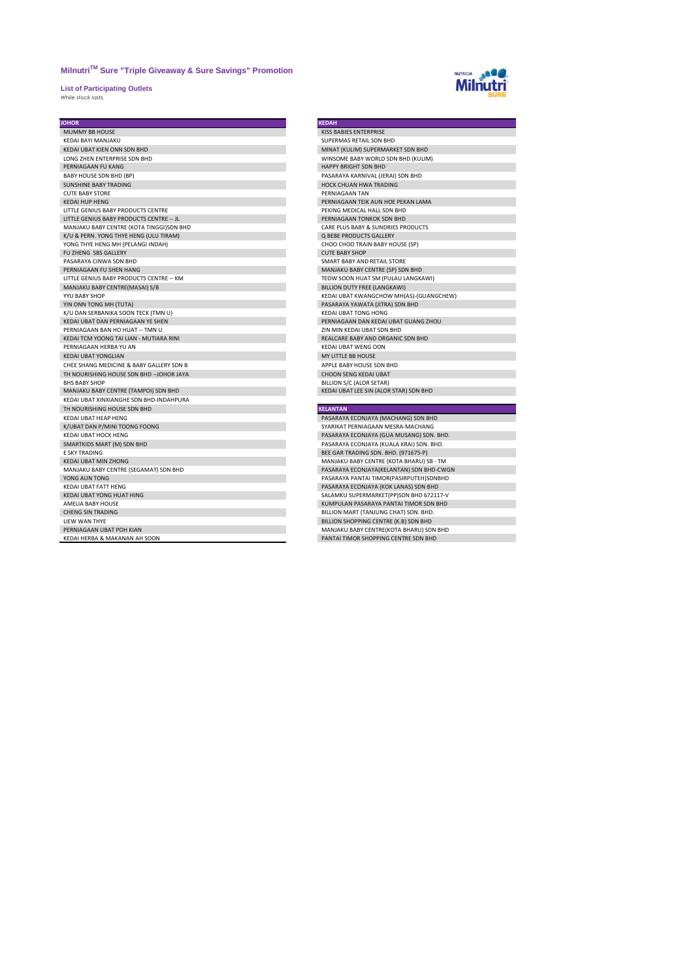**List of Participating Outlets** *While stock lasts.* 



| <b>JOHOR</b>                              | <b>KEDAH</b>                             |
|-------------------------------------------|------------------------------------------|
| MUMMY BB HOUSE                            | KISS BABIES ENTERPRISE                   |
| KEDAI BAYI MANJAKU                        | SUPERMAS RETAIL SDN BHD                  |
| KEDAI UBAT KIEN ONN SDN BHD               | MINAT (KULIM) SUPERMARKET SDN BHD        |
| LONG ZHEN ENTERPRISE SDN BHD              | WINSOME BABY WORLD SDN BHD (KULIM)       |
| PERNIAGAAN FU KANG                        | HAPPY BRIGHT SDN BHD                     |
| BABY HOUSE SDN BHD (BP)                   | PASARAYA KARNIVAL (JERAI) SDN BHD        |
| <b>SUNSHINE BABY TRADING</b>              | <b>HOCK CHUAN HWA TRADING</b>            |
| <b>CUTE BABY STORE</b>                    | PFRNIAGAAN TAN                           |
| <b>KEDAI HUP HENG</b>                     | PERNIAGAAN TEIK AUN HOE PEKAN LAMA       |
| LITTLE GENIUS BABY PRODUCTS CENTRE        | PEKING MEDICAL HALL SDN BHD              |
| LITTLE GENIUS BABY PRODUCTS CENTRE -- JL  | PERNIAGAAN TONKOK SDN BHD                |
| MANJAKU BABY CENTRE (KOTA TINGGI)SDN BHD  | CARE PLUS BABY & SUNDRIES PRODUCTS       |
| K/U & PERN. YONG THYE HENG (ULU TIRAM)    | <b>Q BEBE PRODUCTS GALLERY</b>           |
| YONG THYE HENG MH (PELANGI INDAH)         | CHOO CHOO TRAIN BABY HOUSE (SP)          |
| FU ZHENG SBS GALLERY                      | <b>CUTE BABY SHOP</b>                    |
| PASARAYA CINWA SDN BHD                    | SMART BABY AND RETAIL STORE              |
| PERNIAGAAN FU SHEN HANG                   | MANJAKU BABY CENTRE (SP) SDN BHD         |
| LITTLE GENIUS BABY PRODUCTS CENTRE -- KM  | TEOW SOON HUAT SM (PULAU LANGKAWI)       |
| MANJAKU BABY CENTRE(MASAI) S/B            | BILLION DUTY FREE (LANGKAWI)             |
| YYU BABY SHOP                             | KEDAI UBAT KWANGCHOW MH(AS)-(GUANGCHEW)  |
| YIN ONN TONG MH (TUTA)                    | PASARAYA YAWATA (JITRA) SDN BHD          |
| K/U DAN SERBANIKA SOON TECK (TMN U)       | KEDAI UBAT TONG HONG                     |
| KEDAI UBAT DAN PERNIAGAAN YE SHEN         | PERNIAGAAN DAN KEDAI UBAT GUANG ZHOU     |
| PERNIAGAAN BAN HO HUAT -- TMN U           | ZIN MIN KEDAI UBAT SDN BHD               |
| KEDAI TCM YOONG TAI LIAN - MUTIARA RINI   | REALCARE BABY AND ORGANIC SDN BHD        |
| PERNIAGAAN HERBA YU AN                    | <b>KEDAI UBAT WENG OON</b>               |
| <b>KEDAI UBAT YONGLIAN</b>                | MY LITTLE BB HOUSE                       |
| CHEE SHANG MEDICINE & BABY GALLERY SDN B  | APPLE BABY HOUSE SDN BHD                 |
| TH NOURISHING HOUSE SDN BHD -- JOHOR JAYA | <b>CHOON SENG KEDAI UBAT</b>             |
| <b>BHS BABY SHOP</b>                      | BILLION S/C (ALOR SETAR)                 |
| MANJAKU BABY CENTRE (TAMPOI) SDN BHD      | KEDAI UBAT LEE SIN (ALOR STAR) SDN BHD   |
| KEDAI UBAT XINXIANGHE SDN BHD-INDAHPURA   |                                          |
| TH NOURISHING HOUSE SDN BHD               | <b>KELANTAN</b>                          |
| KEDAI UBAT HEAP HENG                      | PASARAYA ECONJAYA (MACHANG) SDN BHD      |
| K/UBAT DAN P/MINI TOONG FOONG             | SYARIKAT PERNIAGAAN MESRA-MACHANG        |
| KEDAI UBAT HOCK HENG                      | PASARAYA ECONJAYA (GUA MUSANG) SDN. BHD. |
| SMARTKIDS MART (M) SDN BHD                | PASARAYA ECONJAYA (KUALA KRAI) SDN. BHD. |
| <b>E SKY TRADING</b>                      | BEE GAR TRADING SDN. BHD. (971675-P)     |
| <b>KEDAI UBAT MIN ZHONG</b>               | MANJAKU BABY CENTRE (KOTA BHARU) SB - TM |
| MANJAKU BABY CENTRE (SEGAMAT) SDN BHD     | PASARAYA ECONJAYA(KELANTAN) SDN BHD-CWGN |
| YONG AUN TONG                             | PASARAYA PANTAI TIMOR(PASIRPUTEH)SDNBHD  |
| KEDAI UBAT FATT HENG                      | PASARAYA ECONJAYA (KOK LANAS) SDN BHD    |
| KEDAI UBAT YONG HUAT HING                 | SALAMKU SUPERMARKET(PP)SDN BHD 672117-V  |
| AMELIA BABY HOUSE                         | KUMPULAN PASARAYA PANTAI TIMOR SDN BHD   |
| <b>CHENG SIN TRADING</b>                  | BILLION MART (TANJUNG CHAT) SDN. BHD.    |
| LIEW WAN THYE                             | BILLION SHOPPING CENTRE (K.B) SDN BHD    |
| PERNIAGAAN UBAT POH KIAN                  | MANJAKU BABY CENTRE(KOTA BHARU) SDN BHD  |
| KEDAI HERBA & MAKANAN AH SOON             | PANTAI TIMOR SHOPPING CENTRE SDN BHD     |

| <b>KEDAH</b>                            |
|-----------------------------------------|
| KISS BABIES ENTERPRISE                  |
| SUPERMAS RETAIL SDN BHD                 |
| MINAT (KULIM) SUPERMARKET SDN BHD       |
| WINSOME BABY WORLD SDN BHD (KULIM)      |
| <b>HAPPY BRIGHT SDN BHD</b>             |
| PASARAYA KARNIVAL (JERAI) SDN BHD       |
| HOCK CHUAN HWA TRADING                  |
| PFRNIAGAAN TAN                          |
| PERNIAGAAN TEIK AUN HOE PEKAN LAMA      |
| PEKING MEDICAL HALL SDN BHD             |
| PERNIAGAAN TONKOK SDN BHD               |
| CARE PLUS BABY & SUNDRIES PRODUCTS      |
| <b>Q BEBE PRODUCTS GALLERY</b>          |
| CHOO CHOO TRAIN BABY HOUSE (SP)         |
| <b>CUTE BABY SHOP</b>                   |
| SMART BABY AND RETAIL STORE             |
| MANJAKU BABY CENTRE (SP) SDN BHD        |
| TEOW SOON HUAT SM (PULAU LANGKAWI)      |
| BILLION DUTY FREE (LANGKAWI)            |
| KEDAI UBAT KWANGCHOW MH(AS)-(GUANGCHEW) |
| PASARAYA YAWATA (JITRA) SDN BHD         |
| KEDAI UBAT TONG HONG                    |
| PERNIAGAAN DAN KEDAI UBAT GUANG ZHOU    |
| <b>7IN MIN KEDAI UBAT SDN BHD</b>       |
| REALCARE BABY AND ORGANIC SDN BHD       |
| KEDAI UBAT WENG OON                     |
| MY LITTLE BB HOUSE                      |
| APPLE BABY HOUSE SDN BHD                |
| CHOON SENG KEDALUBAT                    |
| BILLION S/C (ALOR SETAR)                |
| KEDAI UBAT LEE SIN (ALOR STAR) SDN BHD  |
|                                         |
| <b>KELANTAN</b>                         |
| PASARAYA ECONJAYA (MACHANG) SDN BHD     |
|                                         |

| SYARIKAT PERNIAGAAN MESRA-MACHANG        |
|------------------------------------------|
| PASARAYA ECONJAYA (GUA MUSANG) SDN. BHD. |
| PASARAYA ECONJAYA (KUALA KRAI) SDN. BHD. |
| BEE GAR TRADING SDN. BHD. (971675-P)     |
| MANJAKU BABY CENTRE (KOTA BHARU) SB - TM |
| PASARAYA ECONJAYA(KELANTAN) SDN BHD-CWGN |
| PASARAYA PANTAI TIMOR(PASIRPUTEH)SDNBHD  |
| PASARAYA ECONJAYA (KOK LANAS) SDN BHD    |
| SALAMKU SUPERMARKET(PP)SDN BHD 672117-V  |
| KUMPULAN PASARAYA PANTAI TIMOR SDN BHD   |
| BILLION MART (TANJUNG CHAT) SDN. BHD.    |
| BILLION SHOPPING CENTRE (K.B) SDN BHD    |
| MANJAKU BABY CENTRE(KOTA BHARU) SDN BHD  |
| PANTAI TIMOR SHOPPING CENTRE SDN BHD     |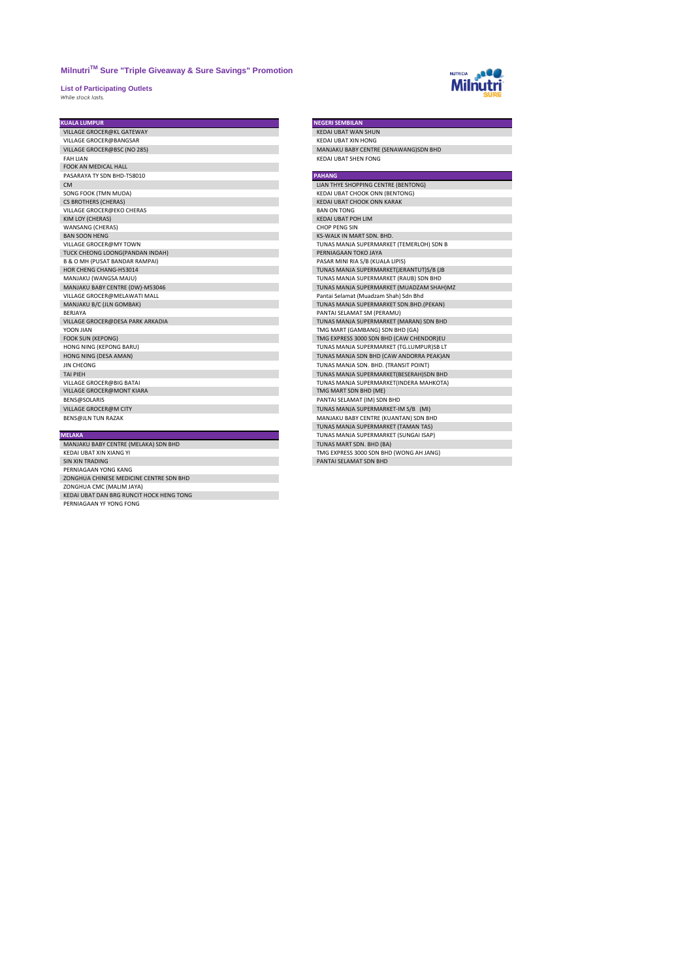**List of Participating Outlets** *While stock lasts.* 



| <b>KUALA LUMPUR</b>                       | <b>NEGERI SEMBILAN</b>                   |
|-------------------------------------------|------------------------------------------|
| VILLAGE GROCER@KL GATEWAY                 | KEDAI UBAT WAN SHUN                      |
| VILLAGE GROCER@BANGSAR                    | KEDAI UBAT XIN HONG                      |
| VILLAGE GROCER@BSC (NO 285)               | MANJAKU BABY CENTRE (SENAWANG)SDN BHD    |
| <b>FAH LIAN</b>                           | KEDAI UBAT SHEN FONG                     |
| <b>FOOK AN MEDICAL HALL</b>               |                                          |
| PASARAYA TY SDN BHD-T58010                | <b>PAHANG</b>                            |
| <b>CM</b>                                 | LIAN THYE SHOPPING CENTRE (BENTONG)      |
| SONG FOOK (TMN MUDA)                      | <b>KEDAI UBAT CHOOK ONN (BENTONG)</b>    |
| <b>CS BROTHERS (CHERAS)</b>               | KEDAI UBAT CHOOK ONN KARAK               |
| VILLAGE GROCER@EKO CHERAS                 | <b>BAN ON TONG</b>                       |
| KIM LOY (CHERAS)                          | KEDAI UBAT POH LIM                       |
| WANSANG (CHERAS)                          | <b>CHOP PENG SIN</b>                     |
| <b>BAN SOON HENG</b>                      | KS-WALK IN MART SDN, BHD.                |
| VILLAGE GROCER@MY TOWN                    | TUNAS MANJA SUPERMARKET (TEMERLOH) SDN B |
| TUCK CHEONG LOONG(PANDAN INDAH)           | PERNIAGAAN TOKO JAYA                     |
| <b>B &amp; O MH (PUSAT BANDAR RAMPAI)</b> | PASAR MINI RIA S/B (KUALA LIPIS)         |
| HOR CHENG CHANG-H53014                    | TUNAS MANJA SUPERMARKET(JERANTUT)S/B (JB |
| MANJAKU (WANGSA MAJU)                     | TUNAS MANJA SUPERMARKET (RAUB) SDN BHD   |
| MANJAKU BABY CENTRE (DW)-M53046           | TUNAS MANJA SUPERMARKET (MUADZAM SHAH)MZ |
| VILLAGE GROCER@MELAWATI MALL              | Pantai Selamat (Muadzam Shah) Sdn Bhd    |
| MANJAKU B/C (JLN GOMBAK)                  | TUNAS MANJA SUPERMARKET SDN.BHD.(PEKAN)  |
| <b>BFRIAYA</b>                            | PANTAI SELAMAT SM (PERAMU)               |
| VILLAGE GROCER@DESA PARK ARKADIA          | TUNAS MANJA SUPERMARKET (MARAN) SDN BHD  |
| YOON JIAN                                 | TMG MART (GAMBANG) SDN BHD (GA)          |
| <b>FOOK SUN (KEPONG)</b>                  | TMG EXPRESS 3000 SDN BHD (CAW CHENDOR)EU |
| HONG NING (KEPONG BARU)                   | TUNAS MANJA SUPERMARKET (TG.LUMPUR)SB LT |
| HONG NING (DESA AMAN)                     | TUNAS MANJA SDN BHD (CAW ANDORRA PEAK)AN |
| <b>JIN CHEONG</b>                         | TUNAS MANJA SDN. BHD. (TRANSIT POINT)    |
| <b>TAI PIFH</b>                           | TUNAS MANJA SUPERMARKET(BESERAH)SDN BHD  |
| VILLAGE GROCER@BIG BATAI                  | TUNAS MANJA SUPERMARKET(INDERA MAHKOTA)  |
| VILLAGE GROCER@MONT KIARA                 | TMG MART SDN BHD (ME)                    |
| BENS@SOLARIS                              | PANTAI SELAMAT (IM) SDN BHD              |
| VILLAGE GROCER@M CITY                     | TUNAS MANJA SUPERMARKET-IM S/B (MI)      |
| <b>BENS@JLN TUN RAZAK</b>                 | MANJAKU BABY CENTRE (KUANTAN) SDN BHD    |
|                                           | TUNAS MANJA SUPERMARKET (TAMAN TAS)      |
| <b>MELAKA</b>                             | TUNAS MANJA SUPERMARKET (SUNGAI ISAP)    |

### MANJAKU BABY CENTRE (MELAKA) SDN BHD TUNAS MART SDN. BHD (BA)

HER KEDAI UBAT XIN XIANG YI TMG EXPRESS 300 SDN BHD (WONG AH JANG) SIN XIN TRADING SIN XIN TRADING PANTAI SELAMAT SDN BHD<br>PERNIAGAAN YONG KANG<br>ZONGHUA CHINESE MEDICINE CENTRE SDN BHD

ZONGHUA CMC (MALIM JAYA) KEDAI UBAT DAN BRG RUNCIT HOCK HENG TONG PERNIAGAAN YF YONG FONG

| . . |  |  |
|-----|--|--|

| LIAN THYE SHOPPING CENTRE (BENTONG)      |
|------------------------------------------|
| KEDAI UBAT CHOOK ONN (BENTONG)           |
| KEDAI UBAT CHOOK ONN KARAK               |
| <b>BAN ON TONG</b>                       |
| KEDAI UBAT POH LIM                       |
| <b>CHOP PENG SIN</b>                     |
| <b>KS-WALK IN MART SDN. BHD.</b>         |
| TUNAS MANJA SUPERMARKET (TEMERLOH) SDN B |
| PERNIAGAAN TOKO JAYA                     |
| PASAR MINI RIA S/B (KUALA LIPIS)         |
| TUNAS MANJA SUPERMARKET(JERANTUT)S/B (JB |
| TUNAS MANJA SUPERMARKET (RAUB) SDN BHD   |
| TUNAS MANJA SUPERMARKET (MUADZAM SHAH)MZ |
| Pantai Selamat (Muadzam Shah) Sdn Bhd    |
| TUNAS MANJA SUPERMARKET SDN.BHD.(PEKAN)  |
| PANTAI SELAMAT SM (PERAMU)               |
| TUNAS MANJA SUPERMARKET (MARAN) SDN BHD  |
| TMG MART (GAMBANG) SDN BHD (GA)          |
| TMG EXPRESS 3000 SDN BHD (CAW CHENDOR)EU |
| TUNAS MANJA SUPERMARKET (TG.LUMPUR)SB LT |
| TUNAS MANJA SDN BHD (CAW ANDORRA PEAK)AN |
| TUNAS MANJA SDN. BHD. (TRANSIT POINT)    |
| TUNAS MANJA SUPERMARKET(BESERAH)SDN BHD  |
| TUNAS MANJA SUPERMARKET(INDERA MAHKOTA)  |
| TMG MART SDN BHD (ME)                    |
| PANTAI SELAMAT (IM) SDN BHD              |
| TUNAS MANJA SUPERMARKET-IM S/B (MI)      |
| MANJAKU BABY CENTRE (KUANTAN) SDN BHD    |
| TUNAS MANJA SUPERMARKET (TAMAN TAS)      |
| TUNAS MANJA SUPERMARKET (SUNGAI ISAP)    |
| TUNAS MART SDN, BHD (BA)                 |
| TMG EXPRESS 3000 SDN BHD (WONG AH JANG)  |
| PANTAL SELAMAT SDN BHD                   |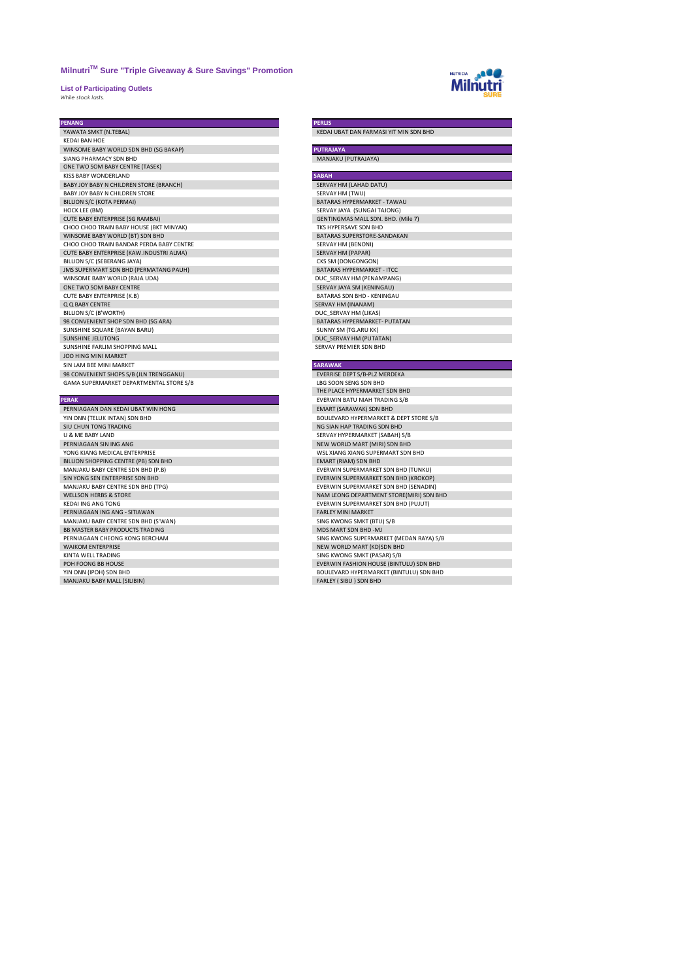**List of Participating Outlets** *While stock lasts.* 



# **PENANG<br>YAWATA SMKT (N.TEBAL)**

| <b>KFDAI BAN HOF</b>                     |                                    |
|------------------------------------------|------------------------------------|
| WINSOME BABY WORLD SDN BHD (SG BAKAP)    | <b>PUTRAJAYA</b>                   |
| SIANG PHARMACY SDN BHD                   | MANJAKU (PUTRAJAYA)                |
| ONE TWO SOM BABY CENTRE (TASEK)          |                                    |
| KISS BABY WONDERLAND                     | <b>SABAH</b>                       |
| BABY JOY BABY N CHILDREN STORE (BRANCH)  | SERVAY HM (LAHAD DATU)             |
| BABY JOY BABY N CHILDREN STORE           | SERVAY HM (TWU)                    |
| BILLION S/C (KOTA PERMAI)                | BATARAS HYPFRMARKFT - TAWAU        |
| HOCK LEE (BM)                            | SERVAY JAYA (SUNGAI TAJONG)        |
| CUTE BABY ENTERPRISE (SG RAMBAI)         | GENTINGMAS MALL SDN. BHD. (Mile 7) |
| CHOO CHOO TRAIN BABY HOUSE (BKT MINYAK)  | TKS HYPERSAVE SDN BHD              |
| WINSOME BABY WORLD (BT) SDN BHD          | BATARAS SUPERSTORE-SANDAKAN        |
| CHOO CHOO TRAIN BANDAR PERDA BABY CENTRE | SERVAY HM (BENONI)                 |
| CUTE BABY ENTERPRISE (KAW.INDUSTRI ALMA) | <b>SERVAY HM (PAPAR)</b>           |
| BILLION S/C (SEBERANG JAYA)              | CKS SM (DONGONGON)                 |
| JMS SUPERMART SDN BHD (PERMATANG PAUH)   | <b>BATARAS HYPERMARKET - ITCC</b>  |
| WINSOME BABY WORLD (RAJA UDA)            | DUC SERVAY HM (PENAMPANG)          |
| ONE TWO SOM BABY CENTRE                  | SERVAY JAYA SM (KENINGAU)          |
| CUTE BABY ENTERPRISE (K.B)               | BATARAS SDN BHD - KENINGAU         |
| Q Q BABY CENTRE                          | SERVAY HM (INANAM)                 |
| BILLION S/C (B'WORTH)                    | DUC SERVAY HM (LIKAS)              |
| 98 CONVENIENT SHOP SDN BHD (SG ARA)      | BATARAS HYPFRMARKFT- PUTATAN       |
| SUNSHINE SQUARE (BAYAN BARU)             | SUNNY SM (TG.ARU KK)               |
| SUNSHINE JELUTONG                        | DUC SERVAY HM (PUTATAN)            |
| SUNSHINE FARLIM SHOPPING MALL            | SERVAY PREMIER SDN BHD             |
| <b>JOO HING MINI MARKET</b>              |                                    |
| SIN LAM BEE MINI MARKET                  | <b>SARAWAK</b>                     |
| 98 CONVENIENT SHOPS S/B (JLN TRENGGANU)  | EVERRISE DEPT S/B-PLZ MERDEKA      |
| GAMA SUPERMARKET DEPARTMENTAL STORE S/B  | LBG SOON SENG SDN BHD              |

| <b>FLIVAN</b>                        | LVLIVVIIV DATU INAIT TIVADIIVU J/ D      |
|--------------------------------------|------------------------------------------|
| PERNIAGAAN DAN KEDAI UBAT WIN HONG   | <b>EMART (SARAWAK) SDN BHD</b>           |
| YIN ONN (TELUK INTAN) SDN BHD        | BOULEVARD HYPERMARKET & DEPT STORE S/B   |
| SIU CHUN TONG TRADING                | NG SIAN HAP TRADING SDN BHD              |
| U & ME BABY LAND                     | SERVAY HYPERMARKET (SABAH) S/B           |
| PERNIAGAAN SIN ING ANG               | NEW WORLD MART (MIRI) SDN BHD            |
| YONG KIANG MEDICAL ENTERPRISE        | WSL XIANG XIANG SUPERMART SDN BHD        |
| BILLION SHOPPING CENTRE (PB) SDN BHD | EMART (RIAM) SDN BHD                     |
| MANJAKU BABY CENTRE SDN BHD (P.B)    | EVERWIN SUPERMARKET SDN BHD (TUNKU)      |
| SIN YONG SEN ENTERPRISE SDN BHD      | EVERWIN SUPERMARKET SDN BHD (KROKOP)     |
| MANJAKU BABY CENTRE SDN BHD (TPG)    | EVERWIN SUPERMARKET SDN BHD (SENADIN)    |
| <b>WELLSON HERBS &amp; STORE</b>     | NAM LEONG DEPARTMENT STORE(MIRI) SDN BHD |
| KEDALING ANG TONG                    | EVERWIN SUPERMARKET SDN BHD (PUJUT)      |
| PERNIAGAAN ING ANG - SITIAWAN        | <b>FARLEY MINI MARKET</b>                |
| MANJAKU BABY CENTRE SDN BHD (S'WAN)  | SING KWONG SMKT (BTU) S/B                |
| BB MASTER BABY PRODUCTS TRADING      | MDS MART SDN BHD -MJ                     |
| PERNIAGAAN CHEONG KONG BERCHAM       | SING KWONG SUPERMARKET (MEDAN RAYA) S/B  |
| <b>WAIKOM ENTERPRISE</b>             | NEW WORLD MART (KD)SDN BHD               |
| KINTA WELL TRADING                   | SING KWONG SMKT (PASAR) S/B              |
| POH FOONG BB HOUSE                   | EVERWIN FASHION HOUSE (BINTULU) SDN BHD  |
| YIN ONN (IPOH) SDN BHD               | BOULEVARD HYPERMARKET (BINTULU) SDN BHD  |
| MANUALU UADV MAALL (CUIDIM)          | EADLEV / CIDILI COM DUD                  |

# P<mark>ERLIS</mark><br>KEDAI UBAT DAN FARMASI YIT MIN SDN BHD

| <b>&gt;АВАН</b>                    |
|------------------------------------|
| SERVAY HM (LAHAD DATU)             |
| SERVAY HM (TWU)                    |
| BATARAS HYPFRMARKFT - TAWAU        |
| SERVAY JAYA (SUNGAI TAJONG)        |
| GENTINGMAS MALL SDN. BHD. (Mile 7) |
| TKS HYPERSAVE SDN RHD              |
| BATARAS SUPERSTORE-SANDAKAN        |
| SERVAY HM (BENONI)                 |
| SERVAY HM (PAPAR)                  |
| CKS SM (DONGONGON)                 |
| BATARAS HYPFRMARKFT - ITCC         |
| DUC SERVAY HM (PENAMPANG)          |
| SERVAY JAYA SM (KENINGAU)          |
| BATARAS SDN BHD - KENINGAU         |
| SERVAY HM (INANAM)                 |
| DUC SERVAY HM (LIKAS)              |
| BATARAS HYPFRMARKFT- PUTATAN       |
| SUNNY SM (TG.ARU KK)               |
| DUC SERVAY HM (PUTATAN)            |
| SERVAY PREMIER SDN BHD             |
|                                    |
| <b>SARAWAK</b>                     |
| EVERRISE DEPT S/B-PLZ MERDEKA      |
|                                    |

# EVERMISE DEPARTMENTAL STORE AND THE PLACE HYPERMARKET SDN BHD **EVERWIN BATU NIAH TRADING S/B** EMART (SARAWAK) SDN BHD SERVAY HYPERMARKET (SABAH) S/B<br>NEW WORLD MART (MIRI) SDN BHD NEW WORLD MART (MIRI) SDN BHD KANI LEONG DEFANTMENT STONG(MINI) SUPERMARKET<br>EVERWIN SUPERMARKET SDN BHD (PUJUT)<br>FARLEY MINI MARKET FARLEY MINI MARKET SING KWONG SMKT (PASAR) S/B<br>EVERWIN FASHION HOUSE (BINT MAND BOULEVARD HYPERIMARKE<br>FARLEY ( SIBU ) SDN BHD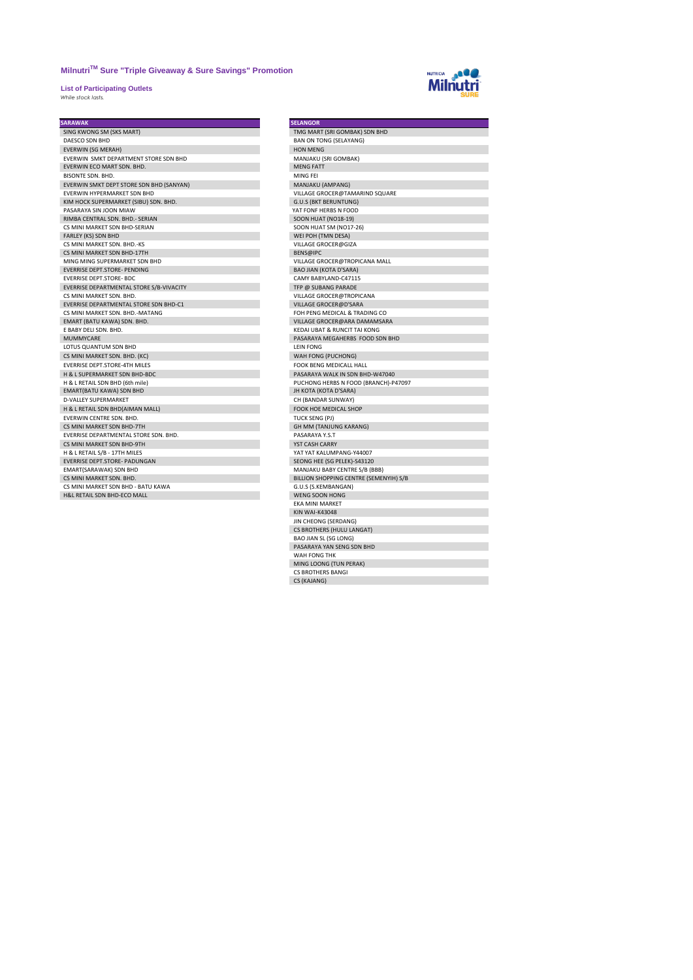**List of Participating Outlets** *While stock lasts.* 



| <b>SARAWAK</b>                           | <b>SELANGOR</b>                        |
|------------------------------------------|----------------------------------------|
| SING KWONG SM (SKS MART)                 | TMG MART (SRI GOMBAK) SDN BHD          |
| DAESCO SDN BHD                           | <b>BAN ON TONG (SELAYANG)</b>          |
| <b>EVERWIN (SG MERAH)</b>                | <b>HON MENG</b>                        |
| EVERWIN SMKT DEPARTMENT STORE SDN BHD    | MANJAKU (SRI GOMBAK)                   |
| <b>FVERWIN FCO MART SDN. BHD.</b>        | <b>MENG FATT</b>                       |
| BISONTE SDN, BHD.                        | MING FEI                               |
| EVERWIN SMKT DEPT STORE SDN BHD (SANYAN) | MANJAKU (AMPANG)                       |
| EVERWIN HYPERMARKET SDN BHD              | VILLAGE GROCER@TAMARIND SQUARE         |
| KIM HOCK SUPERMARKET (SIBU) SDN. BHD.    | <b>G.U.S (BKT BERUNTUNG)</b>           |
| PASARAYA SIN JOON MIAW                   | YAT FONF HERBS N FOOD                  |
| RIMBA CENTRAL SDN. BHD. - SERIAN         | <b>SOON HUAT (NO18-19)</b>             |
| CS MINI MARKET SDN BHD-SERIAN            | SOON HUAT SM (NO17-26)                 |
| FARLEY (KS) SDN BHD                      | WEI POH (TMN DESA)                     |
| CS MINI MARKET SDN. BHD.-KS              | VILLAGE GROCER@GIZA                    |
| CS MINI MARKET SDN BHD-17TH              | BENS@IPC                               |
| MING MING SUPERMARKET SDN BHD            | VILLAGE GROCER@TROPICANA MALL          |
| <b>EVERRISE DEPT.STORE- PENDING</b>      | <b>BAO JIAN (KOTA D'SARA)</b>          |
| <b>EVERRISE DEPT.STORE- BDC</b>          | CAMY BABYLAND-C47115                   |
| EVERRISE DEPARTMENTAL STORE S/B-VIVACITY | TFP @ SUBANG PARADE                    |
| CS MINI MARKET SDN. BHD.                 | VILLAGE GROCER@TROPICANA               |
| EVERRISE DEPARTMENTAL STORE SDN BHD-C1   | VILLAGE GROCER@D'SARA                  |
| CS MINI MARKET SDN, BHD,-MATANG          | FOH PENG MEDICAL & TRADING CO          |
| EMART (BATU KAWA) SDN. BHD.              | VILLAGE GROCER@ARA DAMAMSARA           |
| E BABY DELI SDN. BHD.                    | KEDAI UBAT & RUNCIT TAI KONG           |
| <b>MUMMYCARE</b>                         | PASARAYA MEGAHERBS FOOD SDN BHD        |
| LOTUS QUANTUM SDN BHD                    | <b>LEIN FONG</b>                       |
| CS MINI MARKET SDN. BHD. (KC)            | WAH FONG (PUCHONG)                     |
| <b>EVERRISE DEPT.STORE-4TH MILES</b>     | FOOK BENG MEDICALL HALL                |
| H & L SUPERMARKET SDN BHD-BDC            | PASARAYA WALK IN SDN BHD-W47040        |
| H & L RETAIL SDN BHD (6th mile)          | PUCHONG HERBS N FOOD (BRANCH)-P47097   |
| EMART(BATU KAWA) SDN BHD                 | JH KOTA (KOTA D'SARA)                  |
| D-VALLEY SUPERMARKET                     | CH (BANDAR SUNWAY)                     |
| H & L RETAIL SDN BHD(AIMAN MALL)         | <b>FOOK HOE MEDICAL SHOP</b>           |
| EVERWIN CENTRE SDN. BHD.                 | TUCK SENG (PJ)                         |
| CS MINI MARKET SDN BHD-7TH               | GH MM (TANJUNG KARANG)                 |
| EVERRISE DEPARTMENTAL STORE SDN. BHD.    | PASARAYA Y.S.T                         |
| CS MINI MARKET SDN BHD-9TH               | YST CASH CARRY                         |
| H & L RETAIL S/B - 17TH MILES            | YAT YAT KALUMPANG-Y44007               |
| <b>EVERRISE DEPT.STORE- PADUNGAN</b>     | SEONG HEE (SG PELEK)-S43120            |
| EMART(SARAWAK) SDN BHD                   | MANJAKU BABY CENTRE S/B (BBB)          |
| CS MINI MARKET SDN, BHD.                 | BILLION SHOPPING CENTRE (SEMENYIH) S/B |
| CS MINI MARKET SDN BHD - BATU KAWA       | G.U.S (S.KEMBANGAN)                    |
| <b>H&amp;L RETAIL SDN BHD-ECO MALL</b>   | WENG SOON HONG                         |
|                                          | <b>FKA MINI MARKFT</b>                 |
|                                          |                                        |

| <b>SELANGOR</b>                        |
|----------------------------------------|
| TMG MART (SRI GOMBAK) SDN BHD          |
| <b>BAN ON TONG (SELAYANG)</b>          |
| <b>HON MENG</b>                        |
| MANJAKU (SRI GOMBAK)                   |
| <b>MENG FATT</b>                       |
| MING FEI                               |
| MANJAKU (AMPANG)                       |
| VILLAGE GROCER@TAMARIND SQUARE         |
| <b>G.U.S (BKT BERUNTUNG)</b>           |
| YAT FONF HERBS N FOOD                  |
| <b>SOON HUAT (NO18-19)</b>             |
| SOON HUAT SM (NO17-26)                 |
| WEI POH (TMN DESA)                     |
| VILLAGE GROCER@GIZA                    |
| BENS@IPC                               |
| VILLAGE GROCER@TROPICANA MALL          |
| <b>BAO JIAN (KOTA D'SARA)</b>          |
| CAMY BABYLAND-C47115                   |
| TFP @ SUBANG PARADE                    |
| VILLAGE GROCER@TROPICANA               |
| VILLAGE GROCER@D'SARA                  |
| FOH PENG MEDICAL & TRADING CO          |
| VILLAGE GROCER@ARA DAMAMSARA           |
| KEDAI UBAT & RUNCIT TAI KONG           |
| PASARAYA MEGAHERBS FOOD SDN BHD        |
| <b>LEIN FONG</b>                       |
| WAH FONG (PUCHONG)                     |
| FOOK BENG MEDICALL HALL                |
| PASARAYA WALK IN SDN BHD-W47040        |
| PUCHONG HERBS N FOOD (BRANCH)-P47097   |
| JH KOTA (KOTA D'SARA)                  |
| CH (BANDAR SUNWAY)                     |
| FOOK HOE MEDICAL SHOP                  |
| <b>TUCK SENG (PJ)</b>                  |
| <b>GH MM (TANJUNG KARANG)</b>          |
| PASARAYA Y.S.T                         |
| YST CASH CARRY                         |
| YAT YAT KALUMPANG-Y44007               |
| SEONG HEE (SG PELEK)-S43120            |
| MANJAKU BABY CENTRE S/B (BBB)          |
| BILLION SHOPPING CENTRE (SEMENYIH) S/B |
| G.U.S (S.KEMBANGAN)                    |
| <b>WENG SOON HONG</b>                  |
| <b>EKA MINI MARKET</b>                 |
| <b>KIN WAI-K43048</b>                  |
| JIN CHEONG (SERDANG)                   |
| CS BROTHERS (HULU LANGAT)              |
| <b>BAO JIAN SL (SG LONG)</b>           |
| PASARAYA YAN SENG SDN BHD              |
| WAH FONG THK                           |
| MING LOONG (TUN PERAK)                 |
| CS BROTHERS BANGI                      |
| CS (KAJANG)                            |